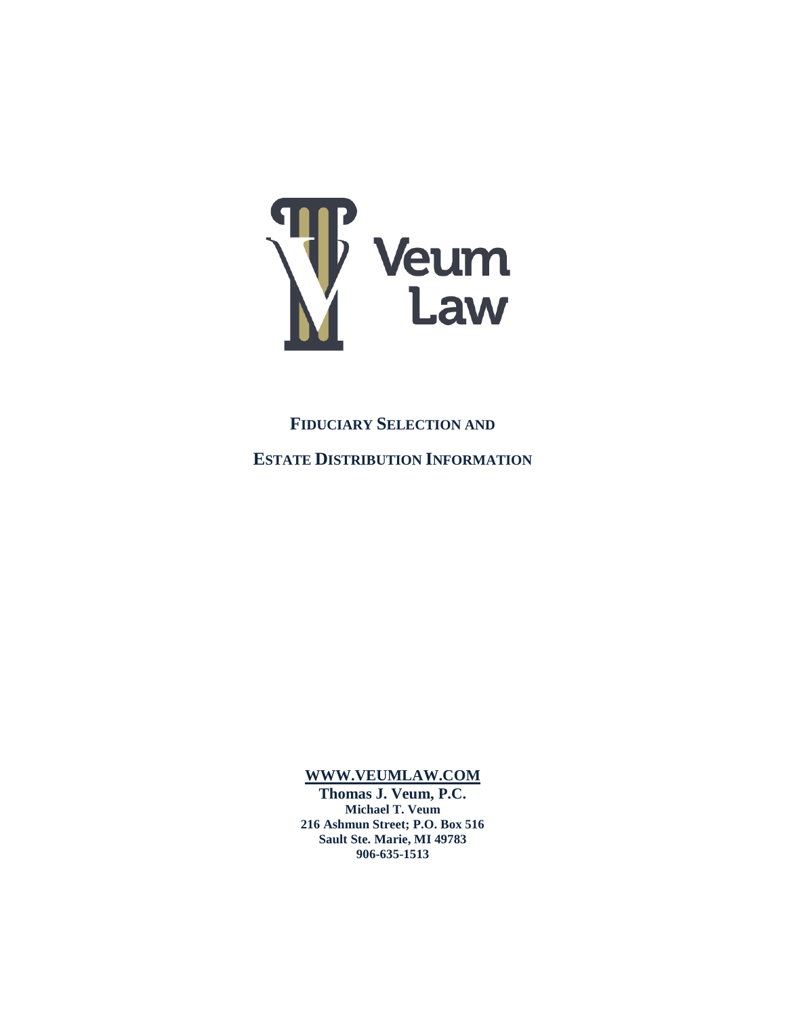

**FIDUCIARY SELECTION AND ESTATE DISTRIBUTION INFORMATION**

**[WWW.VEUMLAW.COM](http://www.veumlaw.com/)**

**Thomas J. Veum, P.C. Michael T. Veum 216 Ashmun Street; P.O. Box 516 Sault Ste. Marie, MI 49783 906-635-1513**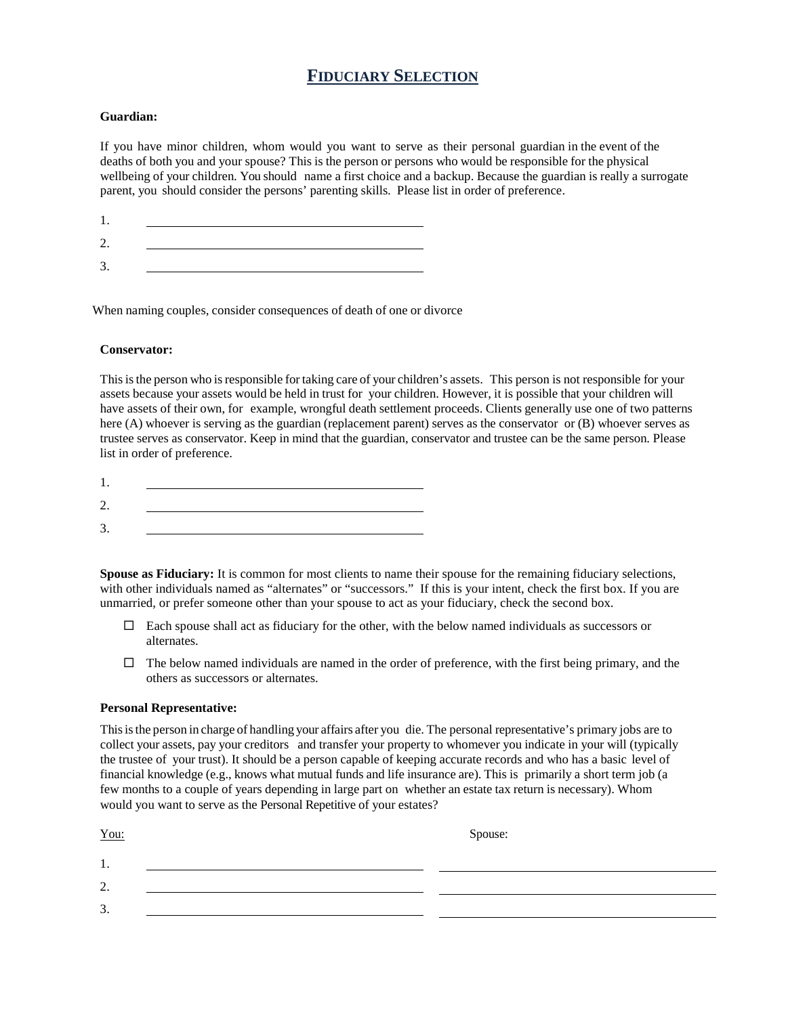## **FIDUCIARY SELECTION**

#### **Guardian:**

If you have minor children, whom would you want to serve as their personal guardian in the event of the deaths of both you and your spouse? This is the person or persons who would be responsible for the physical wellbeing of your children. You should name a first choice and a backup. Because the guardian is really a surrogate parent, you should consider the persons' parenting skills. Please list in order of preference.

| $\overline{\phantom{a}}$ |  |
|--------------------------|--|

When naming couples, consider consequences of death of one or divorce

#### **Conservator:**

This is the person who is responsible for taking care of your children's assets. This person is not responsible for your assets because your assets would be held in trust for your children. However, it is possible that your children will have assets of their own, for example, wrongful death settlement proceeds. Clients generally use one of two patterns here (A) whoever is serving as the guardian (replacement parent) serves as the conservator or (B) whoever serves as trustee serves as conservator. Keep in mind that the guardian, conservator and trustee can be the same person. Please list in order of preference.

**Spouse as Fiduciary:** It is common for most clients to name their spouse for the remaining fiduciary selections, with other individuals named as "alternates" or "successors." If this is your intent, check the first box. If you are unmarried, or prefer someone other than your spouse to act as your fiduciary, check the second box.

- $\Box$  Each spouse shall act as fiduciary for the other, with the below named individuals as successors or alternates.
- $\Box$  The below named individuals are named in the order of preference, with the first being primary, and the others as successors or alternates.

#### **Personal Representative:**

Thisisthe person in charge of handling your affairs after you die. The personal representative's primary jobs are to collect your assets, pay your creditors and transfer your property to whomever you indicate in your will (typically the trustee of your trust). It should be a person capable of keeping accurate records and who has a basic level of financial knowledge (e.g., knows what mutual funds and life insurance are). This is primarily a short term job (a few months to a couple of years depending in large part on whether an estate tax return is necessary). Whom would you want to serve as the Personal Repetitive of your estates?

| $You$                                | Spouse: |  |  |
|--------------------------------------|---------|--|--|
| . .                                  |         |  |  |
| $\gamma$<br>$\overline{\phantom{a}}$ |         |  |  |
| 3.                                   |         |  |  |
|                                      |         |  |  |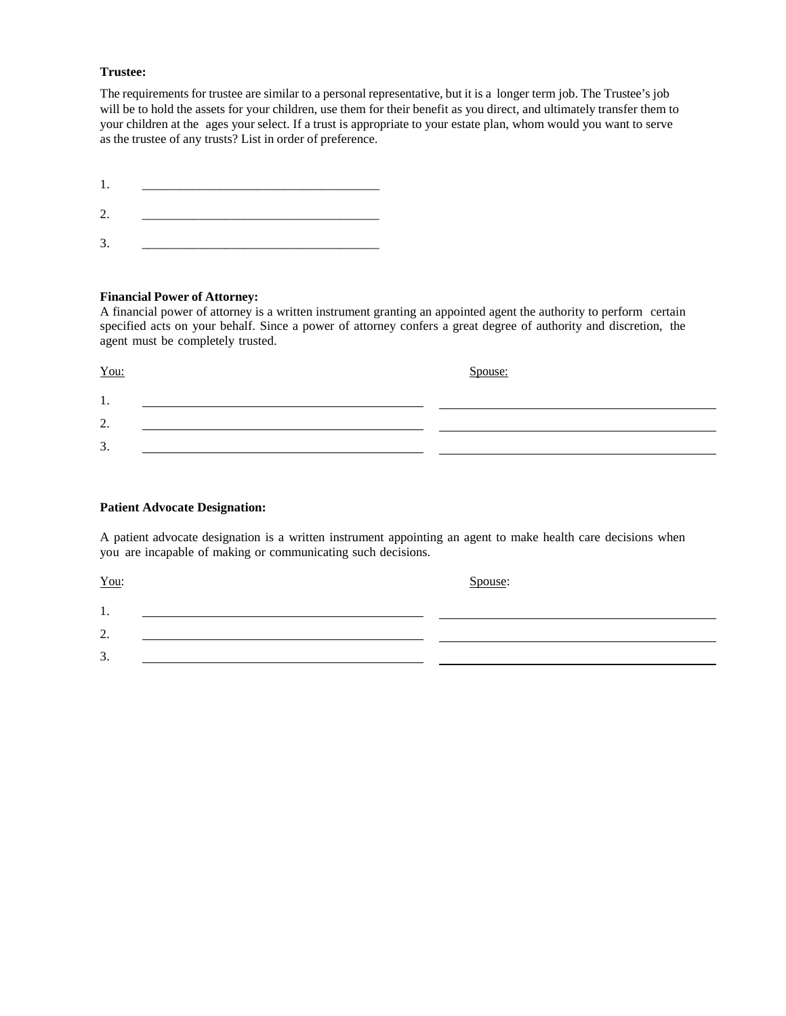#### **Trustee:**

The requirements for trustee are similar to a personal representative, but it is a longer term job. The Trustee's job will be to hold the assets for your children, use them for their benefit as you direct, and ultimately transfer them to your children at the ages your select. If a trust is appropriate to your estate plan, whom would you want to serve as the trustee of any trusts? List in order of preference.

1. \_\_\_\_\_\_\_\_\_\_\_\_\_\_\_\_\_\_\_\_\_\_\_\_\_\_\_\_\_\_\_\_\_\_\_\_\_

- 2. \_\_\_\_\_\_\_\_\_\_\_\_\_\_\_\_\_\_\_\_\_\_\_\_\_\_\_\_\_\_\_\_\_\_\_\_\_
- 3. \_\_\_\_\_\_\_\_\_\_\_\_\_\_\_\_\_\_\_\_\_\_\_\_\_\_\_\_\_\_\_\_\_\_\_\_\_

## **Financial Power of Attorney:**

A financial power of attorney is a written instrument granting an appointed agent the authority to perform certain specified acts on your behalf. Since a power of attorney confers a great degree of authority and discretion, the agent must be completely trusted.

| $You$                                 | Spouse: |
|---------------------------------------|---------|
| . .                                   |         |
| $\bigcap$<br>$\overline{\phantom{a}}$ |         |
| 3.                                    |         |

### **Patient Advocate Designation:**

A patient advocate designation is a written instrument appointing an agent to make health care decisions when you are incapable of making or communicating such decisions.

You: Spouse:

1. 2. 3.